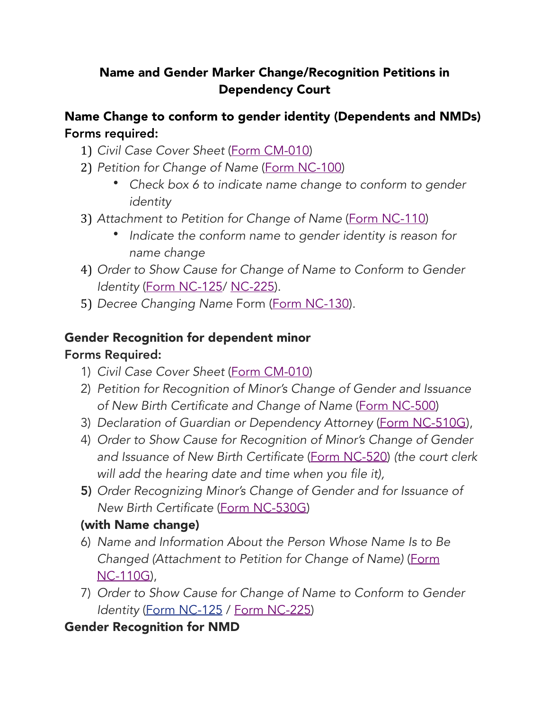## Name and Gender Marker Change/Recognition Petitions in Dependency Court

## Name Change to conform to gender identity (Dependents and NMDs) Forms required:

- 1) *Civil Case Cover Sheet* ([Form CM-010](https://www.courts.ca.gov/documents/cm010.pdf))
- 2) *Petition for Change of Name* [\(Form NC-100](https://www.courts.ca.gov/documents/nc100.pdf))
	- *Check box 6 to indicate name change to conform to gender identity*
- 3) *Attachment to Petition for Change of Name* [\(Form NC-110\)](https://www.courts.ca.gov/documents/nc110.pdf)
	- *Indicate the conform name to gender identity is reason for name change*
- 4) *Order to Show Cause for Change of Name to Conform to Gender Identity* ([Form NC-125](https://www.courts.ca.gov/documents/nc125.pdf)/ [NC-225](https://www.courts.ca.gov/documents/nc225.pdf)).
- 5) *Decree Changing Name* Form ([Form NC-130](https://www.courts.ca.gov/documents/nc130.pdf)).

#### Gender Recognition for dependent minor

### Forms Required:

- 1) *Civil Case Cover Sheet* ([Form CM-010](https://www.courts.ca.gov/documents/cm010.pdf))
- 2) *Petition for Recognition of Minor's Change of Gender and Issuance of New Birth Certificate and Change of Name* [\(Form NC-500](https://www.courts.ca.gov/documents/nc500.pdf))
- 3) *Declaration of Guardian or Dependency Attorney* ([Form NC-510G](https://www.courts.ca.gov/documents/nc510g.pdf)),
- 4) *Order to Show Cause for Recognition of Minor's Change of Gender and Issuance of New Birth Certificate* [\(Form NC-520\)](https://www.courts.ca.gov/documents/nc520.pdf) *(the court clerk will add the hearing date and time when you file it),*
- 5) *Order Recognizing Minor's Change of Gender and for Issuance of New Birth Certificate* ([Form NC-530G](https://www.courts.ca.gov/documents/nc530g.pdf))

### (with Name change)

- 6) *Name and Information About the Person Whose Name Is to Be [Changed \(Attachment to Petition for Change of Name\)](https://www.courts.ca.gov/documents/nc110g.pdf)* (Form NC-110G),
- 7) *Order to Show Cause for Change of Name to Conform to Gender Identity* ([Form NC-125](https://www.courts.ca.gov/41185.htm) / [Form NC-225\)](https://www.courts.ca.gov/documents/nc225.pdf)

### Gender Recognition for NMD